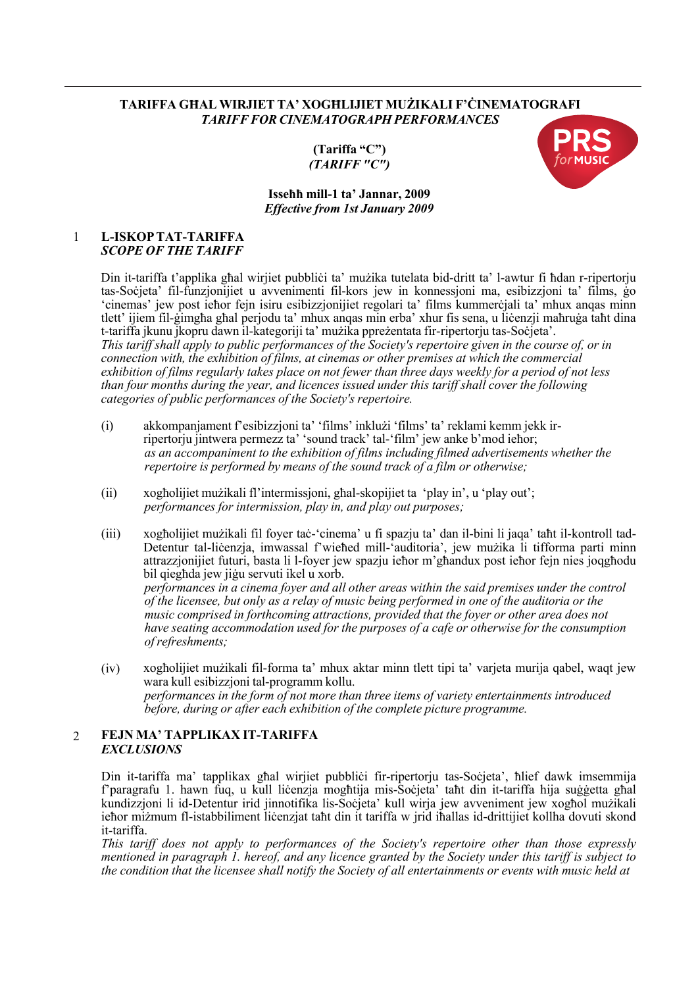## **TARIFFA GĦAL WIRJIET TA' XOGĦLIJIET MUŻIKALI F'ĊINEMATOGRAFI** *TARIFF FOR CINEMATOGRAPH PERFORMANCES*

**(Tariffa "C")** *(TARIFF "C")*



## **Isseħħ mill-1 ta' Jannar, 2009** *Effective from 1st January 2009*

#### 1 **L-ISKOPTAT-TARIFFA** *SCOPE OF THE TARIFF*

Din it-tariffa t'applika għal wirjiet pubbliċi ta' mużika tutelata bid-dritt ta' l-awtur fi ħdan r-ripertoriu tas-Soċjeta' fil-funzjonijiet u avvenimenti fil-kors jew in konnessjoni ma, esibizzjoni ta' films, ġo 'cinemas' jew post ieħor fejn isiru esibizzjonijiet regolari ta' films kummerċjali ta' mhux anqas minn tlett' ijiem fil-ġimgħa għal perjodu ta' mhux anqas min erba' xhur fis sena, u liċenzji maħruġa taħt dina t-tariffa jkunu jkopru dawn il-kategoriji ta' mużika ppreżentata fir-ripertorju tas-Soċjeta'. This tariff shall apply to public performances of the Society's repertoire given in the course of, or in *connection with, the exhibition of films, at cinemas or other premises at which the commercial* exhibition of films regularly takes place on not fewer than three days weekly for a period of not less *than four months during the year, and licences issued under this tariff shall cover the following categories of public performances of the Society's repertoire.*

- (i) akkompanjament f'esibizzjoni ta' 'films' inklużi 'films' ta' reklami kemm jekk irripertorju jintwera permezz ta' 'sound track' tal-'film' jew anke b'mod ieħor; *as an accompaniment to the exhibition of films including filmed advertisements whether the repertoire is performed by means of the sound track of a film or otherwise;*
- (ii) xogħolijiet mużikali fl'intermissjoni, għal-skopijiet ta 'play in', u 'play out'; *performances for intermission, play in, and play out purposes;*
- (iii) xogħolijiet mużikali fil foyer taċ-'cinema' u fi spazju ta' dan il-bini li jaqa' taħt il-kontroll tad-Detentur tal-liċenzja, imwassal f'wieħed mill-'auditoria', jew mużika li tifforma parti minn attrazzjonijiet futuri, basta li l-foyer jew spazju ieħor m'għandux post ieħor fejn nies joqgħodu bil qiegħda jew jiġu servuti ikel u xorb.

*performances in a cinema foyer and all other areas within the said premises under the control* of the licensee, but only as a relay of music being performed in one of the auditoria or the *music comprised in forthcoming attractions, provided that the foyer or other area does not have seating accommodation used for the purposes of a cafe or otherwise for the consumption ofrefreshments;*

(iv) xogħolijiet mużikali fil-forma ta' mhux aktar minn tlett tipi ta' varjeta murija qabel, waqt jew wara kull esibizzjoni tal-programm kollu. *performances in the form of not more than three items of variety entertainments introduced before, during or after each exhibition of the complete picture programme.*

## 2 **FEJN MA' TAPPLIKAX IT-TARIFFA** *EXCLUSIONS*

Din it-tariffa ma' tapplikax għal wirjiet pubblici fir-ripertorju tas-Soċjeta', ħlief dawk imsemmija f'paragrafu 1. hawn fuq, u kull liċenzja mogħtija mis-Soċjeta' taħt din it-tariffa hija suġġetta għal kundizzjoni li id-Detentur irid jinnotifika lis-Soċjeta' kull wirja jew avveniment jew xogħol mużikali ieħor miżmum fl-istabbiliment liċenzjat taħt din it tariffa w jrid iħallas id-drittijiet kollha dovuti skond it-tariffa.

*This tariff does not apply to performances of the Society's repertoire other than those expressly mentioned in paragraph 1. hereof, and any licence granted by the Society under this tariff is subject to* the condition that the licensee shall notify the Society of all entertainments or events with music held at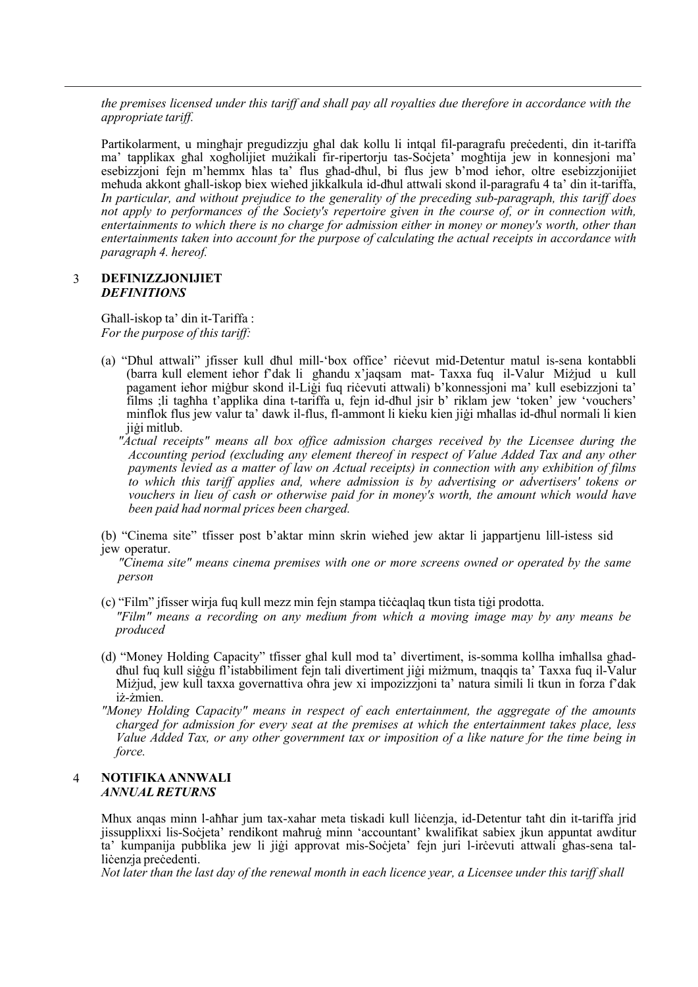*the premises licensed under this tariff and shall pay all royalties due therefore in accordance with the appropriate tariff.*

Partikolarment, u mingħajr pregudizzju għal dak kollu li intqal fil-paragrafu preċedenti, din it-tariffa ma' tapplikax għal xogħolijiet mużikali fir-ripertorju tas-Soċjeta' mogħtija jew in konnesjoni ma' esebizzjoni fejn m'hemmx ħlas ta' flus għad-dħul, bi flus jew b'mod ieħor, oltre esebizzjonijiet meħuda akkont għall-iskop biex wieħed jikkalkula id-dħul attwali skond il-paragrafu 4 ta' din it-tariffa, *In particular, and without prejudice to the generality of the preceding sub-paragraph, this tariff does not apply to performances of the Society's repertoire given in the course of, or in connection with, entertainments to which there is no charge for admission either in money or money's worth, other than entertainments taken into account for the purpose of calculating the actual receipts in accordance with paragraph 4. hereof.*

#### 3 **DEFINIZZJONIJIET** *DEFINITIONS*

Għall-iskop ta' din it-Tariffa : *For the purpose of this tariff:*

- (a) "Dħul attwali" jfisser kull dħul mill-'box office' riċevut mid-Detentur matul is-sena kontabbli (barra kull element ieħor f'dak li għandu x'jaqsam mat- Taxxa fuq il-Valur Miżjud u kull pagament ieħor miġbur skond il-Liġi fuq riċevuti attwali) b'konnessjoni ma' kull esebizzjoni ta' films ;li tagħha t'applika dina t-tariffa u, fejn id-dħul jsir b' riklam jew 'token' jew 'vouchers' minflok flus jew valur ta' dawk il-flus, fl-ammont li kieku kien jiġi mħallas id-dħul normali li kien jiġi mitlub.
	- *"Actual receipts" means all box office admission charges received by the Licensee during the Accounting period (excluding any element thereof in respect of Value Added Tax and any other payments levied as a matter of law on Actual receipts) in connection with any exhibition of films to which this tariff applies and, where admission is by advertising or advertisers' tokens or vouchers in lieu of cash or otherwise paid for in money's worth, the amount which would have been paid had normal prices been charged.*
- (b) "Cinema site" tfisser post b'aktar minn skrin wieħed jew aktar li jappartjenu lill-istess sid jew operatur.

*"Cinema site" means cinema premises with one or more screens owned or operated by the same person*

(c) "Film" jfisser wirja fuq kull mezz min fejn stampa tiċċaqlaq tkun tista tiġi prodotta.

*"Film" means a recording on any medium from which a moving image may by any means be produced*

- (d) "Money Holding Capacity" tfisser għal kull mod ta' divertiment, is-somma kollha imħallsa għaddħul fuq kull siġġu fl'istabbiliment fejn tali divertiment jiġi miżmum, tnaqqis ta' Taxxa fuq il-Valur Miżjud, jew kull taxxa governattiva oħra jew xi impozizzjoni ta' natura simili li tkun in forza f'dak iż-żmien.
- *"Money Holding Capacity" means in respect of each entertainment, the aggregate of the amounts charged for admission for every seat at the premises at which the entertainment takes place, less* Value Added Tax, or any other government tax or imposition of a like nature for the time being in *force.*

#### 4 **NOTIFIKA ANNWALI** *ANNUALRETURNS*

Mhux anqas minn l-aħħar jum tax-xahar meta tiskadi kull liċenzja, id-Detentur taħt din it-tariffa jrid jissupplixxi lis-Soċjeta' rendikont maħruġ minn 'accountant' kwalifikat sabiex jkun appuntat awditur ta' kumpanija pubblika jew li jiġi approvat mis-Soċjeta' fejn juri l-irċevuti attwali għas-sena talliċenzia preċedenti.

Not later than the last day of the renewal month in each licence year, a Licensee under this tariff shall